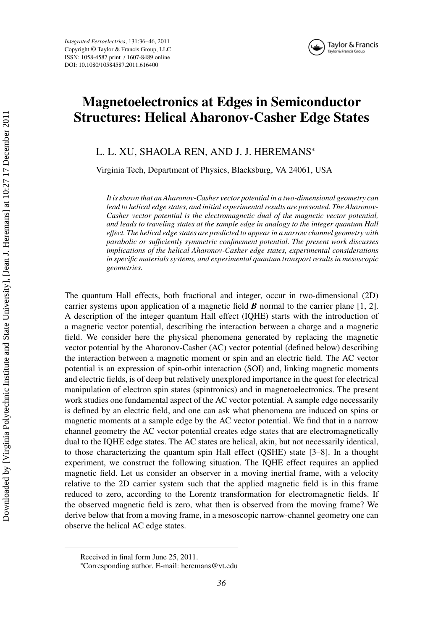*Integrated Ferroelectrics*, 131:36–46, 2011 Copyright © Taylor & Francis Group, LLC ISSN: 1058-4587 print / 1607-8489 online DOI: 10.1080/10584587.2011.616400



## **Magnetoelectronics at Edges in Semiconductor Structures: Helical Aharonov-Casher Edge States**

L. L. XU, SHAOLA REN, AND J. J. HEREMANS<sup>∗</sup>

Virginia Tech, Department of Physics, Blacksburg, VA 24061, USA

*It is shown that an Aharonov-Casher vector potential in a two-dimensional geometry can lead to helical edge states, and initial experimental results are presented. The Aharonov-Casher vector potential is the electromagnetic dual of the magnetic vector potential, and leads to traveling states at the sample edge in analogy to the integer quantum Hall effect. The helical edge states are predicted to appear in a narrow channel geometry with parabolic or sufficiently symmetric confinement potential. The present work discusses implications of the helical Aharonov-Casher edge states, experimental considerations in specific materials systems, and experimental quantum transport results in mesoscopic geometries.*

The quantum Hall effects, both fractional and integer, occur in two-dimensional (2D) carrier systems upon application of a magnetic field  $\bf{B}$  normal to the carrier plane [1, 2]. A description of the integer quantum Hall effect (IQHE) starts with the introduction of a magnetic vector potential, describing the interaction between a charge and a magnetic field. We consider here the physical phenomena generated by replacing the magnetic vector potential by the Aharonov-Casher (AC) vector potential (defined below) describing the interaction between a magnetic moment or spin and an electric field. The AC vector potential is an expression of spin-orbit interaction (SOI) and, linking magnetic moments and electric fields, is of deep but relatively unexplored importance in the quest for electrical manipulation of electron spin states (spintronics) and in magnetoelectronics. The present work studies one fundamental aspect of the AC vector potential. A sample edge necessarily is defined by an electric field, and one can ask what phenomena are induced on spins or magnetic moments at a sample edge by the AC vector potential. We find that in a narrow channel geometry the AC vector potential creates edge states that are electromagnetically dual to the IQHE edge states. The AC states are helical, akin, but not necessarily identical, to those characterizing the quantum spin Hall effect (QSHE) state [3–8]. In a thought experiment, we construct the following situation. The IQHE effect requires an applied magnetic field. Let us consider an observer in a moving inertial frame, with a velocity relative to the 2D carrier system such that the applied magnetic field is in this frame reduced to zero, according to the Lorentz transformation for electromagnetic fields. If the observed magnetic field is zero, what then is observed from the moving frame? We derive below that from a moving frame, in a mesoscopic narrow-channel geometry one can observe the helical AC edge states.

Received in final form June 25, 2011.

<sup>∗</sup> Corresponding author. E-mail: heremans@vt.edu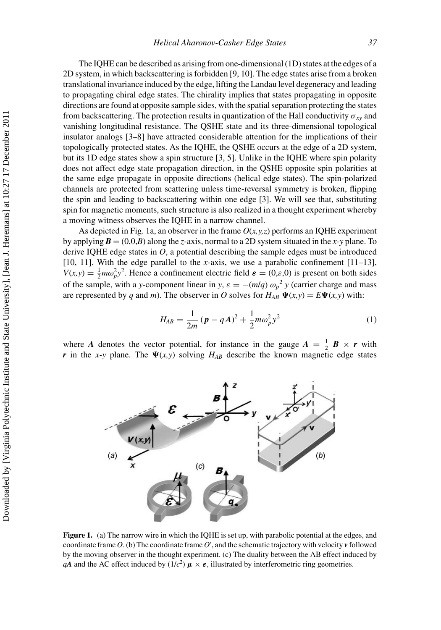The IQHE can be described as arising from one-dimensional (1D) states at the edges of a 2D system, in which backscattering is forbidden [9, 10]. The edge states arise from a broken translational invariance induced by the edge, lifting the Landau level degeneracy and leading to propagating chiral edge states. The chirality implies that states propagating in opposite directions are found at opposite sample sides, with the spatial separation protecting the states from backscattering. The protection results in quantization of the Hall conductivity *σxy* and vanishing longitudinal resistance. The QSHE state and its three-dimensional topological insulator analogs [3–8] have attracted considerable attention for the implications of their topologically protected states. As the IQHE, the QSHE occurs at the edge of a 2D system, but its 1D edge states show a spin structure [3, 5]. Unlike in the IQHE where spin polarity does not affect edge state propagation direction, in the QSHE opposite spin polarities at the same edge propagate in opposite directions (helical edge states). The spin-polarized channels are protected from scattering unless time-reversal symmetry is broken, flipping the spin and leading to backscattering within one edge [3]. We will see that, substituting spin for magnetic moments, such structure is also realized in a thought experiment whereby a moving witness observes the IQHE in a narrow channel.

As depicted in Fig. 1a, an observer in the frame *O*(*x,y,z*) performs an IQHE experiment by applying  $\mathbf{B} = (0,0,B)$  along the *z*-axis, normal to a 2D system situated in the *x*-y plane. To derive IQHE edge states in *O*, a potential describing the sample edges must be introduced [10, 11]. With the edge parallel to the *x*-axis, we use a parabolic confinement [11–13],  $V(x,y) = \frac{1}{2} m \omega_p^2 y^2$ . Hence a confinement electric field  $\epsilon = (0,\epsilon,0)$  is present on both sides of the sample, with a *y*-component linear in *y*,  $\varepsilon = -(m/q) \omega_p^2 y$  (carrier charge and mass are represented by *q* and *m*). The observer in *O* solves for  $H_{AB} \Psi(x, y) = E \Psi(x, y)$  with:

$$
H_{AB} = \frac{1}{2m} (p - qA)^2 + \frac{1}{2} m \omega_p^2 y^2
$$
 (1)

where *A* denotes the vector potential, for instance in the gauge  $A = \frac{1}{2} B \times r$  with *r* in the *x*-*y* plane. The  $\Psi(x, y)$  solving  $H_{AB}$  describe the known magnetic edge states



**Figure 1.** (a) The narrow wire in which the IQHE is set up, with parabolic potential at the edges, and coordinate frame *O*. (b) The coordinate frame *O*- , and the schematic trajectory with velocity *v* followed by the moving observer in the thought experiment. (c) The duality between the AB effect induced by *qA* and the AC effect induced by  $(1/c^2)$   $\mu \times \varepsilon$ , illustrated by interferometric ring geometries.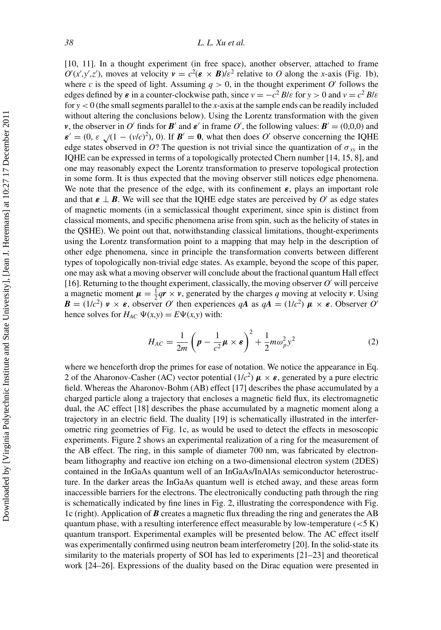[10, 11]. In a thought experiment (in free space), another observer, attached to frame  $O'(x', y', z')$ , moves at velocity  $v = c^2(\mathbf{\varepsilon} \times \mathbf{B})/\varepsilon^2$  relative to *O* along the *x*-axis (Fig. 1b), where *c* is the speed of light. Assuming  $q > 0$ , in the thought experiment *O'* follows the edges defined by  $\epsilon$  in a counter-clockwise path, since  $v = -c^2 B/\epsilon$  for  $y > 0$  and  $v = c^2 B/\epsilon$ for *y <* 0 (the small segments parallel to the *x*-axis at the sample ends can be readily included without altering the conclusions below). Using the Lorentz transformation with the given *v*, the observer in *O*<sup> $\prime$ </sup> finds for *B*<sup> $\prime$ </sup> and *ε*<sup> $\prime$ </sup> in frame *O*<sup> $\prime$ </sup>, the following values: *B*<sup> $\prime$ </sup> = (0,0,0) and  $\epsilon' = (0, \epsilon \sqrt{(1 - (v/c)^2)}, 0)$ . If  $B' = 0$ , what then does *O'* observe concerning the IQHE edge states observed in *O*? The question is not trivial since the quantization of  $\sigma_{xy}$  in the IQHE can be expressed in terms of a topologically protected Chern number [14, 15, 8], and one may reasonably expect the Lorentz transformation to preserve topological protection in some form. It is thus expected that the moving observer still notices edge phenomena. We note that the presence of the edge, with its confinement *ε*, plays an important role and that  $\varepsilon \perp B$ . We will see that the IQHE edge states are perceived by  $O'$  as edge states of magnetic moments (in a semiclassical thought experiment, since spin is distinct from classical moments, and specific phenomena arise from spin, such as the helicity of states in the QSHE). We point out that, notwithstanding classical limitations, thought-experiments using the Lorentz transformation point to a mapping that may help in the description of other edge phenomena, since in principle the transformation converts between different types of topologically non-trivial edge states. As example, beyond the scope of this paper, one may ask what a moving observer will conclude about the fractional quantum Hall effect [16]. Returning to the thought experiment, classically, the moving observer  $O'$  will perceive a magnetic moment  $\mu = \frac{1}{2}qr \times v$ , generated by the charges *q* moving at velocity *v*. Using  $\mathbf{B} = (1/c^2) \mathbf{v} \times \mathbf{\varepsilon}$ , observer *O'* then experiences *qA* as  $qA = (1/c^2) \mathbf{\mu} \times \mathbf{\varepsilon}$ . Observer *O'* hence solves for  $H_{AC} \Psi(x, y) = E \Psi(x, y)$  with:

$$
H_{AC} = \frac{1}{2m} \left( \mathbf{p} - \frac{1}{c^2} \mathbf{\mu} \times \mathbf{\varepsilon} \right)^2 + \frac{1}{2} m \omega_p^2 y^2 \tag{2}
$$

where we henceforth drop the primes for ease of notation. We notice the appearance in Eq. 2 of the Aharonov-Casher (AC) vector potential  $(1/c^2)$   $\mu \times \varepsilon$ , generated by a pure electric field. Whereas the Aharonov-Bohm (AB) effect [17] describes the phase accumulated by a charged particle along a trajectory that encloses a magnetic field flux, its electromagnetic dual, the AC effect [18] describes the phase accumulated by a magnetic moment along a trajectory in an electric field. The duality [19] is schematically illustrated in the interferometric ring geometries of Fig. 1c, as would be used to detect the effects in mesoscopic experiments. Figure 2 shows an experimental realization of a ring for the measurement of the AB effect. The ring, in this sample of diameter 700 nm, was fabricated by electronbeam lithography and reactive ion etching on a two-dimensional electron system (2DES) contained in the InGaAs quantum well of an InGaAs/InAlAs semiconductor heterostructure. In the darker areas the InGaAs quantum well is etched away, and these areas form inaccessible barriers for the electrons. The electronically conducting path through the ring is schematically indicated by fine lines in Fig. 2, illustrating the correspondence with Fig. 1c (right). Application of *B* creates a magnetic flux threading the ring and generates the AB quantum phase, with a resulting interference effect measurable by low-temperature (*<*5 K) quantum transport. Experimental examples will be presented below. The AC effect itself was experimentally confirmed using neutron beam interferometry [20]. In the solid-state its similarity to the materials property of SOI has led to experiments [21–23] and theoretical work [24–26]. Expressions of the duality based on the Dirac equation were presented in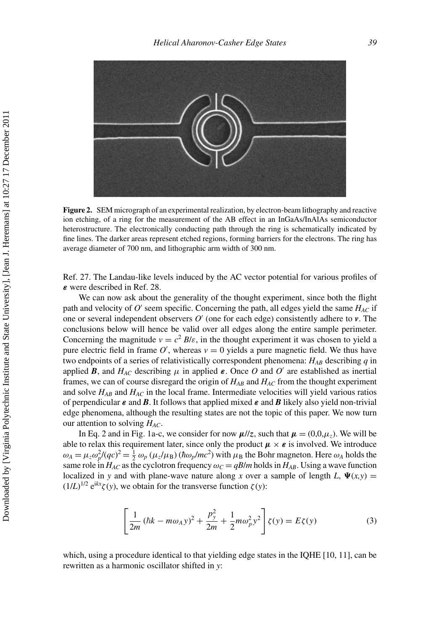

**Figure 2.** SEM micrograph of an experimental realization, by electron-beam lithography and reactive ion etching, of a ring for the measurement of the AB effect in an InGaAs/InAlAs semiconductor heterostructure. The electronically conducting path through the ring is schematically indicated by fine lines. The darker areas represent etched regions, forming barriers for the electrons. The ring has average diameter of 700 nm, and lithographic arm width of 300 nm.

Ref. 27. The Landau-like levels induced by the AC vector potential for various profiles of *ε* were described in Ref. 28.

We can now ask about the generality of the thought experiment, since both the flight path and velocity of  $O'$  seem specific. Concerning the path, all edges yield the same  $H_{AC}$  if one or several independent observers O' (one for each edge) consistently adhere to  $v$ . The conclusions below will hence be valid over all edges along the entire sample perimeter. Concerning the magnitude  $v = c^2 B/\varepsilon$ , in the thought experiment it was chosen to yield a pure electric field in frame  $O'$ , whereas  $v = 0$  yields a pure magnetic field. We thus have two endpoints of a series of relativistically correspondent phenomena: *HAB* describing *q* in applied  $\vec{B}$ , and  $H_{AC}$  describing  $\mu$  in applied  $\epsilon$ . Once O and O' are established as inertial frames, we can of course disregard the origin of  $H_{AB}$  and  $H_{AC}$  from the thought experiment and solve  $H_{AB}$  and  $H_{AC}$  in the local frame. Intermediate velocities will yield various ratios of perpendicular *ε* and *B*. It follows that applied mixed *ε* and *B* likely also yield non-trivial edge phenomena, although the resulting states are not the topic of this paper. We now turn our attention to solving  $H_{AC}$ .

In Eq. 2 and in Fig. 1a-c, we consider for now  $\mu$ //*z*, such that  $\mu = (0,0,\mu_z)$ . We will be able to relax this requirement later, since only the product  $\mu \times \varepsilon$  is involved. We introduce  $\omega_A = \mu_z \omega_p^2/(qc)^2 = \frac{1}{2} \omega_p (\mu_z/\mu_B) (\hbar \omega_p/mc^2)$  with  $\mu_B$  the Bohr magneton. Here  $\omega_A$  holds the same role in  $H_{AC}$  as the cyclotron frequency  $\omega_C = qB/m$  holds in  $H_{AB}$ . Using a wave function localized in *y* and with plane-wave nature along *x* over a sample of length *L*,  $\Psi(x, y) =$ (1/*L*) 1/2 ei*kxζ* (*y*), we obtain for the transverse function *ζ* (*y*):

$$
\left[\frac{1}{2m}(\hbar k - m\omega_A y)^2 + \frac{p_y^2}{2m} + \frac{1}{2}m\omega_p^2 y^2\right] \zeta(y) = E\zeta(y)
$$
 (3)

which, using a procedure identical to that yielding edge states in the IQHE [10, 11], can be rewritten as a harmonic oscillator shifted in *y*: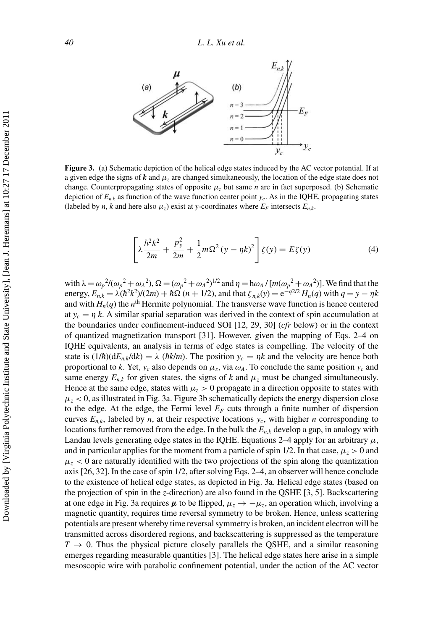

**Figure 3.** (a) Schematic depiction of the helical edge states induced by the AC vector potential. If at a given edge the signs of  $k$  and  $\mu$ <sub>z</sub> are changed simultaneously, the location of the edge state does not change. Counterpropagating states of opposite  $\mu$ <sub>z</sub> but same *n* are in fact superposed. (b) Schematic depiction of  $E_{n,k}$  as function of the wave function center point  $y_c$ . As in the IQHE, propagating states (labeled by *n*, *k* and here also  $\mu_z$ ) exist at *y*-coordinates where  $E_F$  intersects  $E_{n,k}$ .

$$
\left[\lambda \frac{\hbar^2 k^2}{2m} + \frac{p_y^2}{2m} + \frac{1}{2} m \Omega^2 (y - \eta k)^2 \right] \zeta(y) = E \zeta(y)
$$
 (4)

with  $\lambda = \omega_p^2/(\omega_p^2 + \omega_A^2)$ ,  $\Omega = (\omega_p^2 + \omega_A^2)^{1/2}$  and  $\eta = \hbar \omega_A / [m(\omega_p^2 + \omega_A^2)]$ . We find that the  $\hat{\sigma}_{n,k} = \lambda (\hbar^2 k^2)/(2m) + \hbar \Omega (n + 1/2)$ , and that  $\zeta_{n,k}(y) = e^{-q^2/2} H_n(q)$  with  $q = y - \eta k$ and with  $H_n(q)$  the  $n^{\text{th}}$  Hermite polynomial. The transverse wave function is hence centered at  $y_c = \eta k$ . A similar spatial separation was derived in the context of spin accumulation at the boundaries under confinement-induced SOI [12, 29, 30] (*cfr* below) or in the context of quantized magnetization transport [31]. However, given the mapping of Eqs. 2–4 on IQHE equivalents, an analysis in terms of edge states is compelling. The velocity of the state is  $(1/\hbar)(dE_{n,k}/dk) = \lambda ( \hbar k/m)$ . The position  $y_c = \eta k$  and the velocity are hence both proportional to *k*. Yet,  $y_c$  also depends on  $\mu_z$ , via  $\omega_A$ . To conclude the same position  $y_c$  and same energy  $E_{n,k}$  for given states, the signs of *k* and  $\mu_z$  must be changed simultaneously. Hence at the same edge, states with  $\mu_z > 0$  propagate in a direction opposite to states with  $\mu$ <sub>z</sub>  $<$  0, as illustrated in Fig. 3a. Figure 3b schematically depicts the energy dispersion close to the edge. At the edge, the Fermi level  $E_F$  cuts through a finite number of dispersion curves  $E_{n,k}$ , labeled by *n*, at their respective locations  $y_c$ , with higher *n* corresponding to locations further removed from the edge. In the bulk the  $E_{nk}$  develop a gap, in analogy with Landau levels generating edge states in the IQHE. Equations 2–4 apply for an arbitrary  $\mu$ , and in particular applies for the moment from a particle of spin 1/2. In that case,  $\mu_z > 0$  and  $\mu$ <sub>z</sub>  $<$  0 are naturally identified with the two projections of the spin along the quantization axis [26, 32]. In the case of spin 1/2, after solving Eqs. 2–4, an observer will hence conclude to the existence of helical edge states, as depicted in Fig. 3a. Helical edge states (based on the projection of spin in the *z*-direction) are also found in the QSHE [3, 5]. Backscattering at one edge in Fig. 3a requires  $\mu$  to be flipped,  $\mu_z \rightarrow -\mu_z$ , an operation which, involving a magnetic quantity, requires time reversal symmetry to be broken. Hence, unless scattering potentials are present whereby time reversal symmetry is broken, an incident electron will be transmitted across disordered regions, and backscattering is suppressed as the temperature  $T \rightarrow 0$ . Thus the physical picture closely parallels the QSHE, and a similar reasoning emerges regarding measurable quantities [3]. The helical edge states here arise in a simple mesoscopic wire with parabolic confinement potential, under the action of the AC vector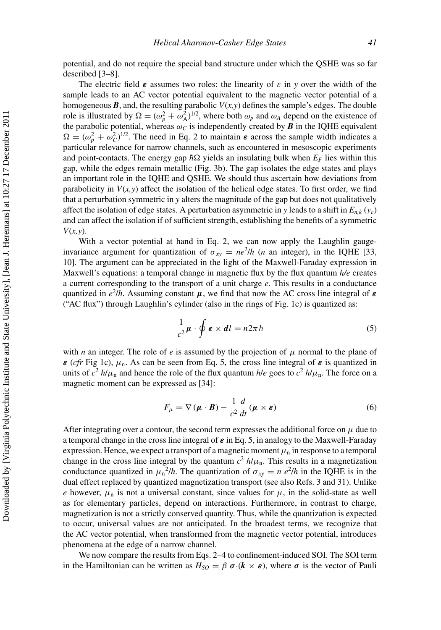potential, and do not require the special band structure under which the QSHE was so far described [3–8].

The electric field *ε* assumes two roles: the linearity of *ε* in *y* over the width of the sample leads to an AC vector potential equivalent to the magnetic vector potential of a homogeneous  $\mathbf{B}$ , and, the resulting parabolic  $V(x, y)$  defines the sample's edges. The double role is illustrated by  $\Omega = (\omega_p^2 + \omega_A^2)^{1/2}$ , where both  $\omega_p$  and  $\omega_A$  depend on the existence of the parabolic potential, whereas  $\omega_C$  is independently created by  $\bm{B}$  in the IQHE equivalent  $\Omega = (\omega_p^2 + \omega_C^2)^{1/2}$ . The need in Eq. 2 to maintain *ε* across the sample width indicates a particular relevance for narrow channels, such as encountered in mesoscopic experiments and point-contacts. The energy gap  $\hbar \Omega$  yields an insulating bulk when  $E_F$  lies within this gap, while the edges remain metallic (Fig. 3b). The gap isolates the edge states and plays an important role in the IQHE and QSHE. We should thus ascertain how deviations from parabolicity in  $V(x, y)$  affect the isolation of the helical edge states. To first order, we find that a perturbation symmetric in *y* alters the magnitude of the gap but does not qualitatively affect the isolation of edge states. A perturbation asymmetric in *y* leads to a shift in  $E_{n,k}$  ( $y_c$ ) and can affect the isolation if of sufficient strength, establishing the benefits of a symmetric *V*(*x,y*).

With a vector potential at hand in Eq. 2, we can now apply the Laughlin gaugeinvariance argument for quantization of  $\sigma_{xy} = ne^2/h$  (*n* an integer), in the IQHE [33, 10]. The argument can be appreciated in the light of the Maxwell-Faraday expression in Maxwell's equations: a temporal change in magnetic flux by the flux quantum *h/e* creates a current corresponding to the transport of a unit charge *e*. This results in a conductance quantized in  $e^2/h$ . Assuming constant  $\mu$ , we find that now the AC cross line integral of  $\varepsilon$ ("AC flux") through Laughlin's cylinder (also in the rings of Fig. 1c) is quantized as:

$$
\frac{1}{c^2}\boldsymbol{\mu} \cdot \oint \boldsymbol{\varepsilon} \times d\boldsymbol{l} = n2\pi\hbar
$$
 (5)

with *n* an integer. The role of *e* is assumed by the projection of  $\mu$  normal to the plane of *ε* (*cfr* Fig 1c),  $\mu_n$ . As can be seen from Eq. 5, the cross line integral of *ε* is quantized in units of  $c^2 h/\mu_n$  and hence the role of the flux quantum *h/e* goes to  $c^2 h/\mu_n$ . The force on a magnetic moment can be expressed as [34]:

$$
F_{\mu} = \nabla (\mu \cdot \mathbf{B}) - \frac{1}{c^2} \frac{d}{dt} (\mu \times \mathbf{\varepsilon})
$$
 (6)

After integrating over a contour, the second term expresses the additional force on  $\mu$  due to a temporal change in the cross line integral of *ε* in Eq. 5, in analogy to the Maxwell-Faraday expression. Hence, we expect a transport of a magnetic moment  $\mu_n$  in response to a temporal change in the cross line integral by the quantum  $c^2 h / \mu_n$ . This results in a magnetization conductance quantized in  $\mu_n^2/h$ . The quantization of  $\sigma_{xy} = n e^2/h$  in the IQHE is in the dual effect replaced by quantized magnetization transport (see also Refs. 3 and 31). Unlike *e* however,  $\mu_n$  is not a universal constant, since values for  $\mu$ , in the solid-state as well as for elementary particles, depend on interactions. Furthermore, in contrast to charge, magnetization is not a strictly conserved quantity. Thus, while the quantization is expected to occur, universal values are not anticipated. In the broadest terms, we recognize that the AC vector potential, when transformed from the magnetic vector potential, introduces phenomena at the edge of a narrow channel.

We now compare the results from Eqs. 2–4 to confinement-induced SOI. The SOI term in the Hamiltonian can be written as  $H_{SO} = \beta \sigma (k \times \epsilon)$ , where  $\sigma$  is the vector of Pauli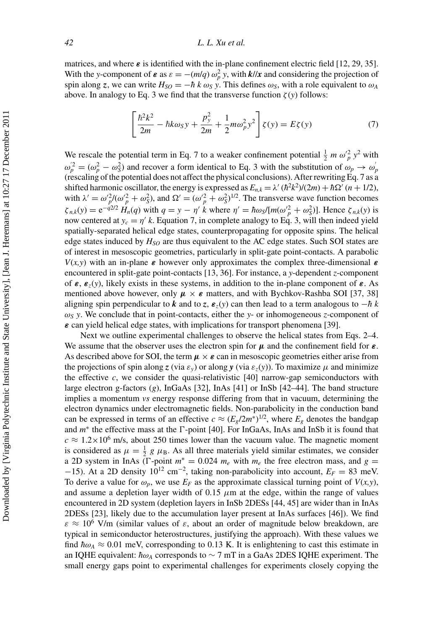matrices, and where *ε* is identified with the in-plane confinement electric field [12, 29, 35]. With the *y*-component of  $\varepsilon$  as  $\varepsilon = -(m/q) \omega_p^2 y$ , with  $k/(x)$  and considering the projection of spin along *z*, we can write  $H_{SO} = -\hbar k \omega_S y$ . This defines  $\omega_S$ , with a role equivalent to  $\omega_A$ above. In analogy to Eq. 3 we find that the transverse function  $\zeta(y)$  follows:

$$
\left[\frac{\hbar^2 k^2}{2m} - \hbar k \omega_S y + \frac{p_y^2}{2m} + \frac{1}{2} m \omega_p^2 y^2\right] \zeta(y) = E \zeta(y) \tag{7}
$$

We rescale the potential term in Eq. 7 to a weaker confinement potential  $\frac{1}{2} m \omega_p^2 y^2$  with  $\omega_p^2 = (\omega_p^2 - \omega_s^2)$  and recover a form identical to Eq. 3 with the substitution of  $\omega_p \to \omega_p^2$ (rescaling of the potential does not affect the physical conclusions). After rewriting Eq. 7 as a shifted harmonic oscillator, the energy is expressed as  $E_{n,k} = \lambda' (\hbar^2 k^2) / (2m) + \hbar \Omega' (n + 1/2)$ , with  $\lambda' = \omega_p'^2/(\omega_p'^2 + \omega_s^2)$ , and  $\Omega' = (\omega_p'^2 + \omega_s^2)^{1/2}$ . The transverse wave function becomes  $\zeta_{n,k}(y) = e^{-q^2/2} H_n(q)$  with  $q = y - \eta' k$  where  $\eta' = \hbar \omega s / [m(\omega_p'^2 + \omega_s^2)]$ . Hence  $\zeta_{n,k}(y)$  is now centered at  $y_c = \eta' k$ . Equation 7, in complete analogy to Eq. 3, will then indeed yield spatially-separated helical edge states, counterpropagating for opposite spins. The helical edge states induced by  $H_{SO}$  are thus equivalent to the AC edge states. Such SOI states are of interest in mesoscopic geometries, particularly in split-gate point-contacts. A parabolic *V*(*x,y*) with an in-plane  $\varepsilon$  however only approximates the complex three-dimensional  $\varepsilon$ encountered in split-gate point-contacts [13, 36]. For instance, a *y*-dependent *z*-component of  $\varepsilon$ ,  $\varepsilon_z(y)$ , likely exists in these systems, in addition to the in-plane component of  $\varepsilon$ . As mentioned above however, only  $\mu \times \varepsilon$  matters, and with Bychkov-Rashba SOI [37, 38] aligning spin perpendicular to *k* and to *z*,  $\varepsilon_z(y)$  can then lead to a term analogous to  $-\hbar k$ *ω<sup>S</sup> y*. We conclude that in point-contacts, either the *y*- or inhomogeneous *z*-component of *ε* can yield helical edge states, with implications for transport phenomena [39].

Next we outline experimental challenges to observe the helical states from Eqs. 2–4. We assume that the observer uses the electron spin for  $\mu$  and the confinement field for  $\varepsilon$ . As described above for SOI, the term  $\mu \times \varepsilon$  can in mesoscopic geometries either arise from the projections of spin along *z* (via  $\varepsilon_y$ ) or along *y* (via  $\varepsilon_z(y)$ ). To maximize  $\mu$  and minimize the effective  $c$ , we consider the quasi-relativistic  $[40]$  narrow-gap semiconductors with large electron g-factors (*g*), InGaAs [32], InAs [41] or InSb [42–44]. The band structure implies a momentum *vs* energy response differing from that in vacuum, determining the electron dynamics under electromagnetic fields. Non-parabolicity in the conduction band can be expressed in terms of an effective  $c \approx (E_g/2m^*)^{1/2}$ , where  $E_g$  denotes the bandgap and  $m$ <sup>∗</sup> the effective mass at the Γ-point [40]. For InGaAs, InAs and InSb it is found that  $c \approx 1.2 \times 10^6$  m/s, about 250 times lower than the vacuum value. The magnetic moment is considered as  $\mu = \frac{1}{2} g \mu_B$ . As all three materials yield similar estimates, we consider a 2D system in InAs ( $\Gamma$ -point  $m^* = 0.024$   $m_e$  with  $m_e$  the free electron mass, and  $g =$  $-15$ ). At a 2D density  $10^{12}$  cm<sup>-2</sup>, taking non-parabolicity into account,  $E_F = 83$  meV. To derive a value for  $\omega_p$ , we use  $E_F$  as the approximate classical turning point of  $V(x, y)$ , and assume a depletion layer width of 0.15  $\mu$ m at the edge, within the range of values encountered in 2D system (depletion layers in InSb 2DESs [44, 45] are wider than in InAs 2DESs [23], likely due to the accumulation layer present at InAs surfaces [46]). We find  $\varepsilon \approx 10^6$  V/m (similar values of  $\varepsilon$ , about an order of magnitude below breakdown, are typical in semiconductor heterostructures, justifying the approach). With these values we find  $\hbar \omega_A \approx 0.01$  meV, corresponding to 0.13 K. It is enlightening to cast this estimate in an IQHE equivalent:  $\hbar \omega_A$  corresponds to  $\sim$  7 mT in a GaAs 2DES IQHE experiment. The small energy gaps point to experimental challenges for experiments closely copying the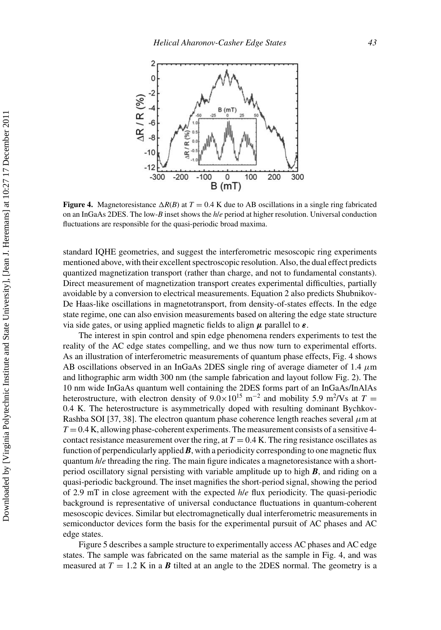

**Figure 4.** Magnetoresistance  $\Delta R(B)$  at  $T = 0.4$  K due to AB oscillations in a single ring fabricated on an InGaAs 2DES. The low-*B* inset shows the *h*/*e* period at higher resolution. Universal conduction fluctuations are responsible for the quasi-periodic broad maxima.

standard IQHE geometries, and suggest the interferometric mesoscopic ring experiments mentioned above, with their excellent spectroscopic resolution. Also, the dual effect predicts quantized magnetization transport (rather than charge, and not to fundamental constants). Direct measurement of magnetization transport creates experimental difficulties, partially avoidable by a conversion to electrical measurements. Equation 2 also predicts Shubnikov-De Haas-like oscillations in magnetotransport, from density-of-states effects. In the edge state regime, one can also envision measurements based on altering the edge state structure via side gates, or using applied magnetic fields to align *µ* parallel to *ε*.

The interest in spin control and spin edge phenomena renders experiments to test the reality of the AC edge states compelling, and we thus now turn to experimental efforts. As an illustration of interferometric measurements of quantum phase effects, Fig. 4 shows AB oscillations observed in an InGaAs 2DES single ring of average diameter of 1.4 *µ*m and lithographic arm width 300 nm (the sample fabrication and layout follow Fig. 2). The 10 nm wide InGaAs quantum well containing the 2DES forms part of an InGaAs/InAlAs heterostructure, with electron density of  $9.0 \times 10^{15}$  m<sup>-2</sup> and mobility 5.9 m<sup>2</sup>/Vs at *T* = 0.4 K. The heterostructure is asymmetrically doped with resulting dominant Bychkov-Rashba SOI [37, 38]. The electron quantum phase coherence length reaches several *µ*m at  $T = 0.4$  K, allowing phase-coherent experiments. The measurement consists of a sensitive 4contact resistance measurement over the ring, at  $T = 0.4$  K. The ring resistance oscillates as function of perpendicularly applied*B*, with a periodicity corresponding to one magnetic flux quantum *h*/*e* threading the ring. The main figure indicates a magnetoresistance with a shortperiod oscillatory signal persisting with variable amplitude up to high *B*, and riding on a quasi-periodic background. The inset magnifies the short-period signal, showing the period of 2.9 mT in close agreement with the expected *h*/*e* flux periodicity. The quasi-periodic background is representative of universal conductance fluctuations in quantum-coherent mesoscopic devices. Similar but electromagnetically dual interferometric measurements in semiconductor devices form the basis for the experimental pursuit of AC phases and AC edge states.

Figure 5 describes a sample structure to experimentally access AC phases and AC edge states. The sample was fabricated on the same material as the sample in Fig. 4, and was measured at  $T = 1.2$  K in a **B** tilted at an angle to the 2DES normal. The geometry is a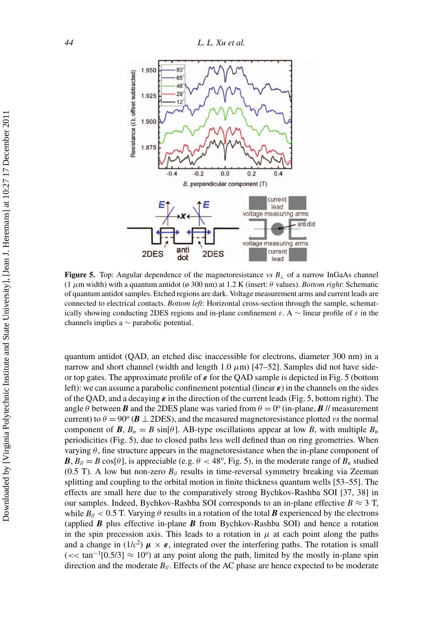

**Figure 5.** Top: Angular dependence of the magnetoresistance *vs B*<sup>⊥</sup> of a narrow InGaAs channel (1 *µ*m width) with a quantum antidot (ø 300 nm) at 1.2 K (insert: *θ* values). *Bottom right*: Schematic of quantum antidot samples. Etched regions are dark. Voltage measurement arms and current leads are connected to electrical contacts. *Bottom left*: Horizontal cross-section through the sample, schematically showing conducting 2DES regions and in-plane confinement *<sup>ε</sup>*. A <sup>∼</sup> linear profile of *<sup>ε</sup>* in the channels implies a  $\sim$  parabolic potential.

quantum antidot (QAD, an etched disc inaccessible for electrons, diameter 300 nm) in a narrow and short channel (width and length  $1.0 \mu m$ ) [47–52]. Samples did not have sideor top gates. The approximate profile of *ε* for the QAD sample is depicted in Fig. 5 (bottom left): we can assume a parabolic confinement potential (linear *ε*) in the channels on the sides of the QAD, and a decaying *ε* in the direction of the current leads (Fig. 5, bottom right). The angle  $\theta$  between **B** and the 2DES plane was varied from  $\theta = 0^{\circ}$  (in-plane, **B** // measurement current) to  $\theta = 90^{\circ}$  ( $\mathbf{B} \perp 2\text{DES}$ ), and the measured magnetoresistance plotted *vs* the normal component of *B*,  $B_n = B \sin[\theta]$ . AB-type oscillations appear at low *B*, with multiple  $B_n$ periodicities (Fig. 5), due to closed paths less well defined than on ring geometries. When varying  $\theta$ , fine structure appears in the magnetoresistance when the in-plane component of *B*,  $B_{\parallel} = B \cos[\theta]$ , is appreciable (e.g.  $\theta < 48^\circ$ , Fig. 5), in the moderate range of  $B_n$  studied (0.5 T). A low but non-zero  $B_{\ell\ell}$  results in time-reversal symmetry breaking via Zeeman splitting and coupling to the orbital motion in finite thickness quantum wells [53–55]. The effects are small here due to the comparatively strong Bychkov-Rashba SOI [37, 38] in our samples. Indeed, Bychkov-Rashba SOI corresponds to an in-plane effective  $B \approx 3$  T, while  $B_{\ell}$  < 0.5 T. Varying  $\theta$  results in a rotation of the total **B** experienced by the electrons (applied *B* plus effective in-plane *B* from Bychkov-Rashba SOI) and hence a rotation in the spin precession axis. This leads to a rotation in  $\mu$  at each point along the paths and a change in  $(1/c^2) \mu \times \varepsilon$ , integrated over the interfering paths. The rotation is small  $\left(\ll \tan^{-1}[0.5/3] \approx 10^{\circ}\right)$  at any point along the path, limited by the mostly in-plane spin direction and the moderate  $B_{\parallel}$ . Effects of the AC phase are hence expected to be moderate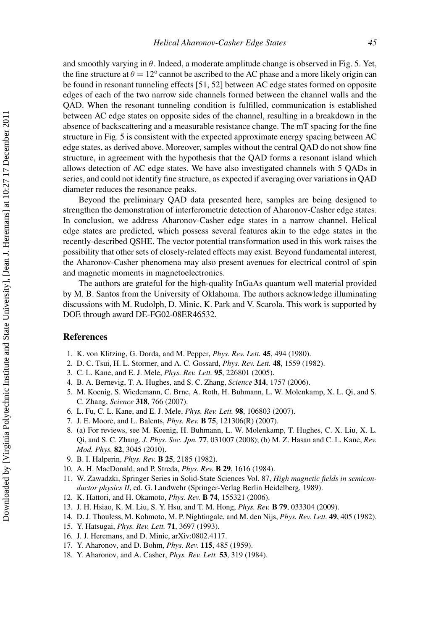and smoothly varying in  $\theta$ . Indeed, a moderate amplitude change is observed in Fig. 5. Yet, the fine structure at  $\theta = 12^{\circ}$  cannot be ascribed to the AC phase and a more likely origin can be found in resonant tunneling effects [51, 52] between AC edge states formed on opposite edges of each of the two narrow side channels formed between the channel walls and the QAD. When the resonant tunneling condition is fulfilled, communication is established between AC edge states on opposite sides of the channel, resulting in a breakdown in the absence of backscattering and a measurable resistance change. The mT spacing for the fine structure in Fig. 5 is consistent with the expected approximate energy spacing between AC edge states, as derived above. Moreover, samples without the central QAD do not show fine structure, in agreement with the hypothesis that the QAD forms a resonant island which allows detection of AC edge states. We have also investigated channels with 5 QADs in series, and could not identify fine structure, as expected if averaging over variations in QAD diameter reduces the resonance peaks.

Beyond the preliminary QAD data presented here, samples are being designed to strengthen the demonstration of interferometric detection of Aharonov-Casher edge states. In conclusion, we address Aharonov-Casher edge states in a narrow channel. Helical edge states are predicted, which possess several features akin to the edge states in the recently-described QSHE. The vector potential transformation used in this work raises the possibility that other sets of closely-related effects may exist. Beyond fundamental interest, the Aharonov-Casher phenomena may also present avenues for electrical control of spin and magnetic moments in magnetoelectronics.

The authors are grateful for the high-quality InGaAs quantum well material provided by M. B. Santos from the University of Oklahoma. The authors acknowledge illuminating discussions with M. Rudolph, D. Minic, K. Park and V. Scarola. This work is supported by DOE through award DE-FG02-08ER46532.

## **References**

- 1. K. von Klitzing, G. Dorda, and M. Pepper, *Phys. Rev. Lett.* **45**, 494 (1980).
- 2. D. C. Tsui, H. L. Stormer, and A. C. Gossard, *Phys. Rev. Lett.* **48**, 1559 (1982).
- 3. C. L. Kane, and E. J. Mele, *Phys. Rev. Lett.* **95**, 226801 (2005).
- 4. B. A. Bernevig, T. A. Hughes, and S. C. Zhang, *Science* **314**, 1757 (2006).
- 5. M. Koenig, S. Wiedemann, C. Brne, A. Roth, H. Buhmann, L. W. Molenkamp, X. L. Qi, and S. C. Zhang, *Science* **318**, 766 (2007).
- 6. L. Fu, C. L. Kane, and E. J. Mele, *Phys. Rev. Lett.* **98**, 106803 (2007).
- 7. J. E. Moore, and L. Balents, *Phys. Rev.* **B 75**, 121306(R) (2007).
- 8. (a) For reviews, see M. Koenig, H. Buhmann, L. W. Molenkamp, T. Hughes, C. X. Liu, X. L. Qi, and S. C. Zhang, *J. Phys. Soc. Jpn.* **77**, 031007 (2008); (b) M. Z. Hasan and C. L. Kane, *Rev. Mod. Phys.* **82**, 3045 (2010).
- 9. B. I. Halperin, *Phys. Rev.* **B 25**, 2185 (1982).
- 10. A. H. MacDonald, and P. Streda, *Phys. Rev.* **B 29**, 1616 (1984).
- 11. W. Zawadzki, Springer Series in Solid-State Sciences Vol. 87, *High magnetic fields in semiconductor physics II*, ed. G. Landwehr (Springer-Verlag Berlin Heidelberg, 1989).
- 12. K. Hattori, and H. Okamoto, *Phys. Rev.* **B 74**, 155321 (2006).
- 13. J. H. Hsiao, K. M. Liu, S. Y. Hsu, and T. M. Hong, *Phys. Rev.* **B 79**, 033304 (2009).
- 14. D. J. Thouless, M. Kohmoto, M. P. Nightingale, and M. den Nijs, *Phys. Rev. Lett.* **49**, 405 (1982).
- 15. Y. Hatsugai, *Phys. Rev. Lett.* **71**, 3697 (1993).
- 16. J. J. Heremans, and D. Minic, arXiv:0802.4117.
- 17. Y. Aharonov, and D. Bohm, *Phys. Rev.* **115**, 485 (1959).
- 18. Y. Aharonov, and A. Casher, *Phys. Rev. Lett.* **53**, 319 (1984).